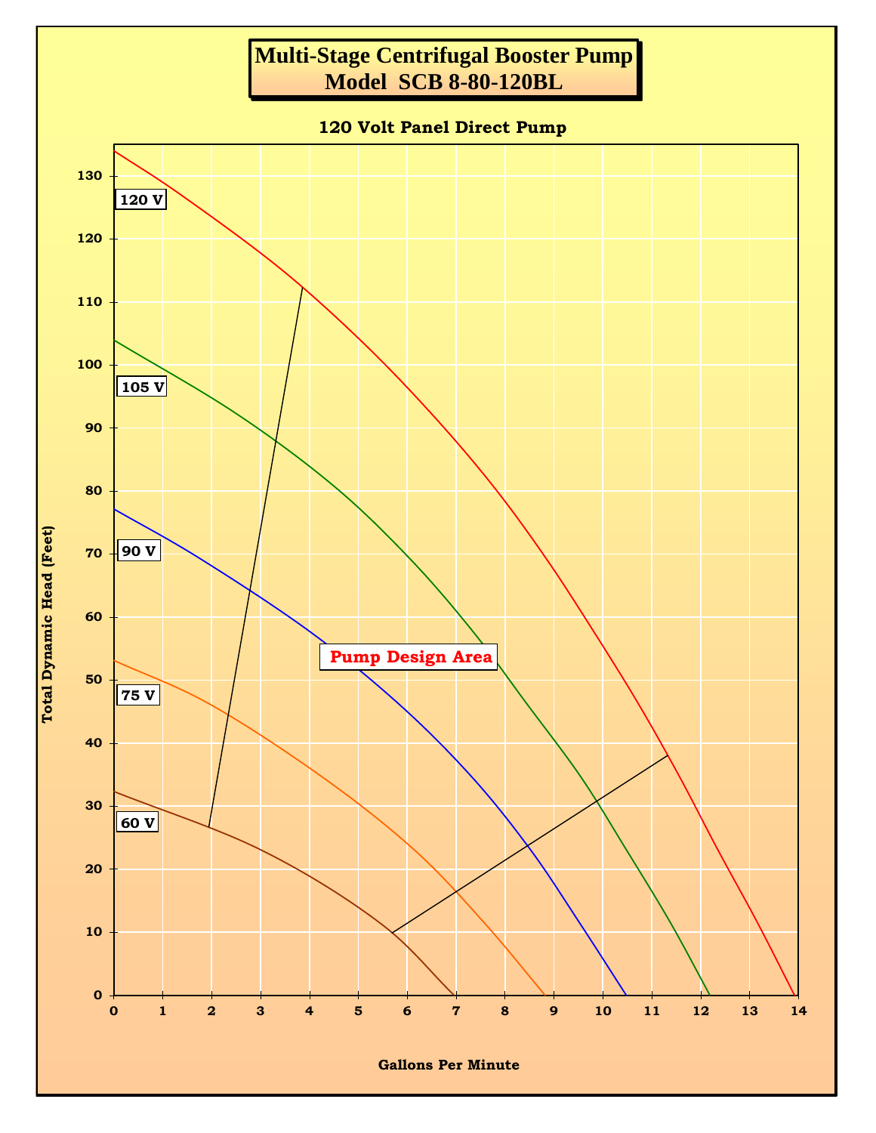